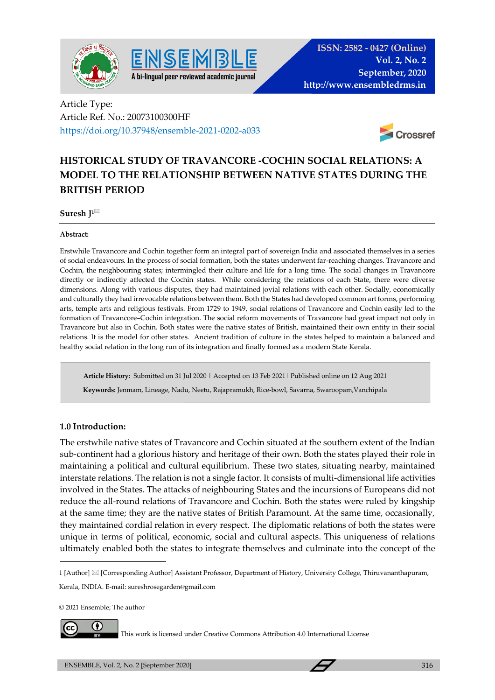



Article Type: Article Ref. No.: 20073100300HF https://doi.org/10.37948/ensemble-2021-0202-a033



# **HISTORICAL STUDY OF TRAVANCORE -COCHIN SOCIAL RELATIONS: A MODEL TO THE RELATIONSHIP BETWEEN NATIVE STATES DURING THE BRITISH PERIOD**

**Suresh J1**

#### **Abstract:**

Erstwhile Travancore and Cochin together form an integral part of sovereign India and associated themselves in a series of social endeavours. In the process of social formation, both the states underwent far-reaching changes. Travancore and Cochin, the neighbouring states; intermingled their culture and life for a long time. The social changes in Travancore directly or indirectly affected the Cochin states. While considering the relations of each State, there were diverse dimensions. Along with various disputes, they had maintained jovial relations with each other. Socially, economically and culturally they had irrevocable relations between them. Both the States had developed common art forms, performing arts, temple arts and religious festivals. From 1729 to 1949, social relations of Travancore and Cochin easily led to the formation of Travancore–Cochin integration. The social reform movements of Travancore had great impact not only in Travancore but also in Cochin. Both states were the native states of British, maintained their own entity in their social relations. It is the model for other states. Ancient tradition of culture in the states helped to maintain a balanced and healthy social relation in the long run of its integration and finally formed as a modern State Kerala.

**Article History:** Submitted on 31 Jul 2020 | Accepted on 13 Feb 2021| Published online on 12 Aug 2021  **Keywords:** Jenmam, Lineage, Nadu, Neetu, Rajapramukh, Rice-bowl, Savarna, Swaroopam,Vanchipala

#### **1.0 Introduction:**

The erstwhile native states of Travancore and Cochin situated at the southern extent of the Indian sub-continent had a glorious history and heritage of their own. Both the states played their role in maintaining a political and cultural equilibrium. These two states, situating nearby, maintained interstate relations. The relation is not a single factor. It consists of multi-dimensional life activities involved in the States. The attacks of neighbouring States and the incursions of Europeans did not reduce the all-round relations of Travancore and Cochin. Both the states were ruled by kingship at the same time; they are the native states of British Paramount. At the same time, occasionally, they maintained cordial relation in every respect. The diplomatic relations of both the states were unique in terms of political, economic, social and cultural aspects. This uniqueness of relations ultimately enabled both the states to integrate themselves and culminate into the concept of the

© 2021 Ensemble; The author



This work is licensed under Creative Commons Attribution 4.0 International License

<sup>1 [</sup>Author] [Corresponding Author] Assistant Professor, Department of History, University College, Thiruvananthapuram, Kerala, INDIA. E-mail: sureshrosegarden@gmail.com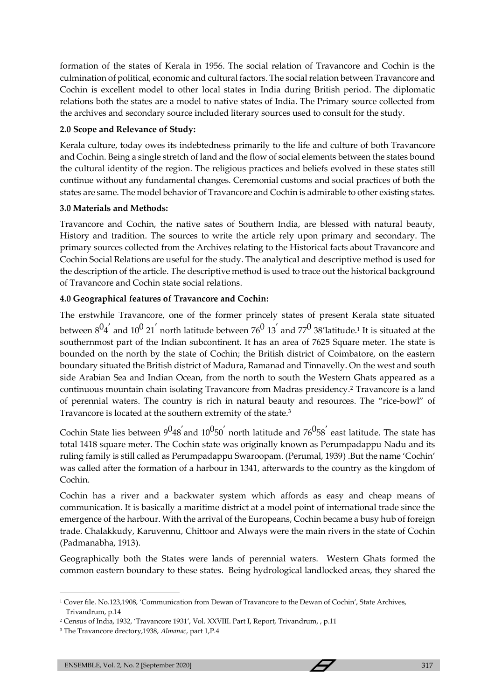formation of the states of Kerala in 1956. The social relation of Travancore and Cochin is the culmination of political, economic and cultural factors. The social relation between Travancore and Cochin is excellent model to other local states in India during British period. The diplomatic relations both the states are a model to native states of India. The Primary source collected from the archives and secondary source included literary sources used to consult for the study.

# **2.0 Scope and Relevance of Study:**

Kerala culture, today owes its indebtedness primarily to the life and culture of both Travancore and Cochin. Being a single stretch of land and the flow of social elements between the states bound the cultural identity of the region. The religious practices and beliefs evolved in these states still continue without any fundamental changes. Ceremonial customs and social practices of both the states are same. The model behavior of Travancore and Cochin is admirable to other existing states.

## **3.0 Materials and Methods:**

Travancore and Cochin, the native sates of Southern India, are blessed with natural beauty, History and tradition. The sources to write the article rely upon primary and secondary. The primary sources collected from the Archives relating to the Historical facts about Travancore and Cochin Social Relations are useful for the study. The analytical and descriptive method is used for the description of the article. The descriptive method is used to trace out the historical background of Travancore and Cochin state social relations.

# **4.0 Geographical features of Travancore and Cochin:**

The erstwhile Travancore, one of the former princely states of present Kerala state situated between  $8^04^{'}$  and  $10^0$  21 $^{'}$  north latitude between 76 $^0$  13 $^{'}$  and 77 $^0$  38'latitude.<sup>1</sup> It is situated at the southernmost part of the Indian subcontinent. It has an area of 7625 Square meter. The state is bounded on the north by the state of Cochin; the British district of Coimbatore, on the eastern boundary situated the British district of Madura, Ramanad and Tinnavelly. On the west and south side Arabian Sea and Indian Ocean, from the north to south the Western Ghats appeared as a continuous mountain chain isolating Travancore from Madras presidency.<sup>2</sup> Travancore is a land of perennial waters. The country is rich in natural beauty and resources. The "rice-bowl" of Travancore is located at the southern extremity of the state.<sup>3</sup>

Cochin State lies between  $9^048^{'}$  and  $10^050^{'}$  north latitude and  $76^058^{'}$  east latitude. The state has total 1418 square meter. The Cochin state was originally known as Perumpadappu Nadu and its ruling family is still called as Perumpadappu Swaroopam. (Perumal, 1939) .But the name 'Cochin' was called after the formation of a harbour in 1341, afterwards to the country as the kingdom of Cochin.

Cochin has a river and a backwater system which affords as easy and cheap means of communication. It is basically a maritime district at a model point of international trade since the emergence of the harbour. With the arrival of the Europeans, Cochin became a busy hub of foreign trade. Chalakkudy, Karuvennu, Chittoor and Always were the main rivers in the state of Cochin (Padmanabha, 1913).

Geographically both the States were lands of perennial waters. Western Ghats formed the common eastern boundary to these states. Being hydrological landlocked areas, they shared the

<sup>1</sup> Cover file. No.123,1908, 'Communication from Dewan of Travancore to the Dewan of Cochin', State Archives, Trivandrum, p.14

<sup>&</sup>lt;sup>2</sup> Census of India, 1932, 'Travancore 1931', Vol. XXVIII. Part I, Report, Trivandrum, , p.11

<sup>3</sup> The Travancore drectory,1938, *Almanac*, part 1,P.4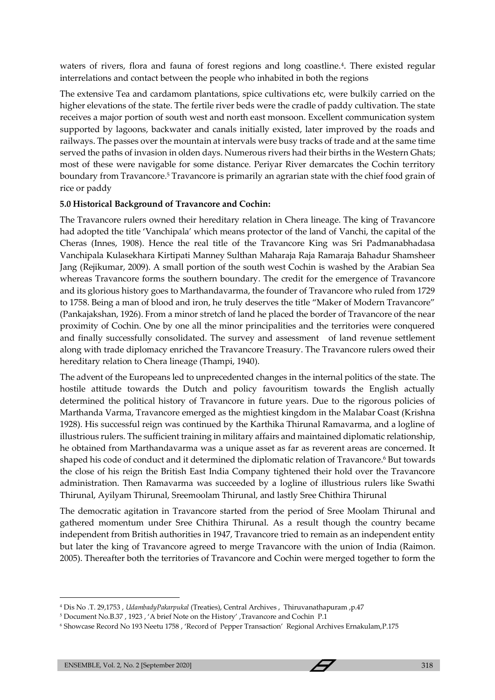waters of rivers, flora and fauna of forest regions and long coastline.<sup>4</sup>. There existed regular interrelations and contact between the people who inhabited in both the regions

The extensive Tea and cardamom plantations, spice cultivations etc, were bulkily carried on the higher elevations of the state. The fertile river beds were the cradle of paddy cultivation. The state receives a major portion of south west and north east monsoon. Excellent communication system supported by lagoons, backwater and canals initially existed, later improved by the roads and railways. The passes over the mountain at intervals were busy tracks of trade and at the same time served the paths of invasion in olden days. Numerous rivers had their births in the Western Ghats; most of these were navigable for some distance. Periyar River demarcates the Cochin territory boundary from Travancore.<sup>5</sup> Travancore is primarily an agrarian state with the chief food grain of rice or paddy

# **5.0 Historical Background of Travancore and Cochin:**

The Travancore rulers owned their hereditary relation in Chera lineage. The king of Travancore had adopted the title 'Vanchipala' which means protector of the land of Vanchi, the capital of the Cheras (Innes, 1908). Hence the real title of the Travancore King was Sri Padmanabhadasa Vanchipala Kulasekhara Kirtipati Manney Sulthan Maharaja Raja Ramaraja Bahadur Shamsheer Jang (Rejikumar, 2009). A small portion of the south west Cochin is washed by the Arabian Sea whereas Travancore forms the southern boundary. The credit for the emergence of Travancore and its glorious history goes to Marthandavarma, the founder of Travancore who ruled from 1729 to 1758. Being a man of blood and iron, he truly deserves the title "Maker of Modern Travancore" (Pankajakshan, 1926). From a minor stretch of land he placed the border of Travancore of the near proximity of Cochin. One by one all the minor principalities and the territories were conquered and finally successfully consolidated. The survey and assessment of land revenue settlement along with trade diplomacy enriched the Travancore Treasury. The Travancore rulers owed their hereditary relation to Chera lineage (Thampi, 1940).

The advent of the Europeans led to unprecedented changes in the internal politics of the state. The hostile attitude towards the Dutch and policy favouritism towards the English actually determined the political history of Travancore in future years. Due to the rigorous policies of Marthanda Varma, Travancore emerged as the mightiest kingdom in the Malabar Coast (Krishna 1928). His successful reign was continued by the Karthika Thirunal Ramavarma, and a logline of illustrious rulers. The sufficient training in military affairs and maintained diplomatic relationship, he obtained from Marthandavarma was a unique asset as far as reverent areas are concerned. It shaped his code of conduct and it determined the diplomatic relation of Travancore.<sup>6</sup> But towards the close of his reign the British East India Company tightened their hold over the Travancore administration. Then Ramavarma was succeeded by a logline of illustrious rulers like Swathi Thirunal, Ayilyam Thirunal, Sreemoolam Thirunal, and lastly Sree Chithira Thirunal

The democratic agitation in Travancore started from the period of Sree Moolam Thirunal and gathered momentum under Sree Chithira Thirunal. As a result though the country became independent from British authorities in 1947, Travancore tried to remain as an independent entity but later the king of Travancore agreed to merge Travancore with the union of India (Raimon. 2005). Thereafter both the territories of Travancore and Cochin were merged together to form the

<sup>4</sup> Dis No .T. 29,1753 , *UdambadyPakarpukal* (Treaties), Central Archives , Thiruvanathapuram ,p.47

<sup>5</sup> Document No.B.37 , 1923 , 'A brief Note on the History' ,Travancore and Cochin P.1

<sup>6</sup> Showcase Record No 193 Neetu 1758 , 'Record of Pepper Transaction' Regional Archives Ernakulam,P.175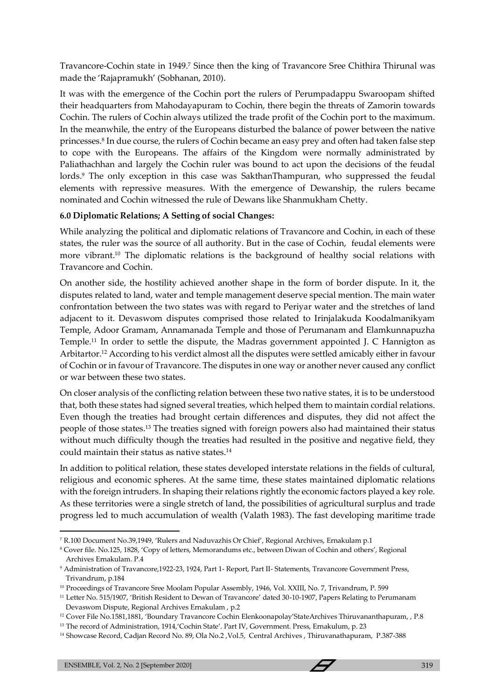Travancore-Cochin state in 1949.<sup>7</sup> Since then the king of Travancore Sree Chithira Thirunal was made the 'Rajapramukh' (Sobhanan, 2010).

It was with the emergence of the Cochin port the rulers of Perumpadappu Swaroopam shifted their headquarters from Mahodayapuram to Cochin, there begin the threats of Zamorin towards Cochin. The rulers of Cochin always utilized the trade profit of the Cochin port to the maximum. In the meanwhile, the entry of the Europeans disturbed the balance of power between the native princesses.<sup>8</sup> In due course, the rulers of Cochin became an easy prey and often had taken false step to cope with the Europeans. The affairs of the Kingdom were normally administrated by Paliathachhan and largely the Cochin ruler was bound to act upon the decisions of the feudal lords.<sup>9</sup> The only exception in this case was SakthanThampuran, who suppressed the feudal elements with repressive measures. With the emergence of Dewanship, the rulers became nominated and Cochin witnessed the rule of Dewans like Shanmukham Chetty.

## **6.0 Diplomatic Relations; A Setting of social Changes:**

While analyzing the political and diplomatic relations of Travancore and Cochin, in each of these states, the ruler was the source of all authority. But in the case of Cochin, feudal elements were more vibrant.<sup>10</sup> The diplomatic relations is the background of healthy social relations with Travancore and Cochin.

On another side, the hostility achieved another shape in the form of border dispute. In it, the disputes related to land, water and temple management deserve special mention. The main water confrontation between the two states was with regard to Periyar water and the stretches of land adjacent to it. Devaswom disputes comprised those related to Irinjalakuda Koodalmanikyam Temple, Adoor Gramam, Annamanada Temple and those of Perumanam and Elamkunnapuzha Temple.<sup>11</sup> In order to settle the dispute, the Madras government appointed J. C Hannigton as Arbitartor.<sup>12</sup> According to his verdict almost all the disputes were settled amicably either in favour of Cochin or in favour of Travancore. The disputes in one way or another never caused any conflict or war between these two states.

On closer analysis of the conflicting relation between these two native states, it is to be understood that, both these states had signed several treaties, which helped them to maintain cordial relations. Even though the treaties had brought certain differences and disputes, they did not affect the people of those states.<sup>13</sup> The treaties signed with foreign powers also had maintained their status without much difficulty though the treaties had resulted in the positive and negative field, they could maintain their status as native states.<sup>14</sup>

In addition to political relation, these states developed interstate relations in the fields of cultural, religious and economic spheres. At the same time, these states maintained diplomatic relations with the foreign intruders. In shaping their relations rightly the economic factors played a key role. As these territories were a single stretch of land, the possibilities of agricultural surplus and trade progress led to much accumulation of wealth (Valath 1983). The fast developing maritime trade

<sup>7</sup> R.100 Document No.39,1949, 'Rulers and Naduvazhis Or Chief', Regional Archives, Ernakulam p.1

<sup>8</sup> Cover file. No.125, 1828, 'Copy of letters, Memorandums etc., between Diwan of Cochin and others', Regional Archives Ernakulam. P.4

<sup>9</sup> Administration of Travancore,1922-23, 1924, Part 1- Report, Part II- Statements, Travancore Government Press, Trivandrum, p.184

<sup>&</sup>lt;sup>10</sup> Proceedings of Travancore Sree Moolam Popular Assembly, 1946, Vol. XXIII, No. 7, Trivandrum, P. 599

<sup>11</sup> Letter No. 515/1907, 'British Resident to Dewan of Travancore' dated 30-10-1907, Papers Relating to Perumanam Devaswom Dispute, Regional Archives Ernakulam , p.2

<sup>12</sup> Cover File No.1581,1881, 'Boundary Travancore Cochin Elenkoonapolay'StateArchives Thiruvananthapuram, , P.8

<sup>&</sup>lt;sup>13</sup> The record of Administration, 1914, 'Cochin State'. Part IV, Government. Press, Ernakulum, p. 23

<sup>14</sup> Showcase Record, Cadjan Record No. 89, Ola No.2 ,Vol.5, Central Archives , Thiruvanathapuram, P.387-388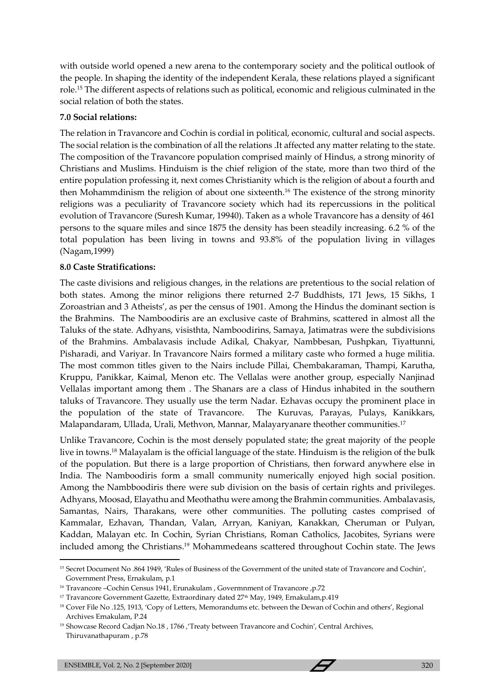with outside world opened a new arena to the contemporary society and the political outlook of the people. In shaping the identity of the independent Kerala, these relations played a significant role.<sup>15</sup> The different aspects of relations such as political, economic and religious culminated in the social relation of both the states.

## **7.0 Social relations:**

The relation in Travancore and Cochin is cordial in political, economic, cultural and social aspects. The social relation is the combination of all the relations .It affected any matter relating to the state. The composition of the Travancore population comprised mainly of Hindus, a strong minority of Christians and Muslims. Hinduism is the chief religion of the state, more than two third of the entire population professing it, next comes Christianity which is the religion of about a fourth and then Mohammdinism the religion of about one sixteenth.<sup>16</sup> The existence of the strong minority religions was a peculiarity of Travancore society which had its repercussions in the political evolution of Travancore (Suresh Kumar, 19940). Taken as a whole Travancore has a density of 461 persons to the square miles and since 1875 the density has been steadily increasing. 6.2 % of the total population has been living in towns and 93.8% of the population living in villages (Nagam,1999)

## **8.0 Caste Stratifications:**

The caste divisions and religious changes, in the relations are pretentious to the social relation of both states. Among the minor religions there returned 2-7 Buddhists, 171 Jews, 15 Sikhs, 1 Zoroastrian and 3 Atheists', as per the census of 1901. Among the Hindus the dominant section is the Brahmins. The Namboodiris are an exclusive caste of Brahmins, scattered in almost all the Taluks of the state. Adhyans, visisthta, Namboodirins, Samaya, Jatimatras were the subdivisions of the Brahmins. Ambalavasis include Adikal, Chakyar, Nambbesan, Pushpkan, Tiyattunni, Pisharadi, and Variyar. In Travancore Nairs formed a military caste who formed a huge militia. The most common titles given to the Nairs include Pillai, Chembakaraman, Thampi, Karutha, Kruppu, Panikkar, Kaimal, Menon etc. The Vellalas were another group, especially Nanjinad Vellalas important among them . The Shanars are a class of Hindus inhabited in the southern taluks of Travancore. They usually use the term Nadar. Ezhavas occupy the prominent place in the population of the state of Travancore. The Kuruvas, Parayas, Pulays, Kanikkars, Malapandaram, Ullada, Urali, Methvon, Mannar, Malayaryanare theother communities.<sup>17</sup>

Unlike Travancore, Cochin is the most densely populated state; the great majority of the people live in towns.<sup>18</sup> Malayalam is the official language of the state. Hinduism is the religion of the bulk of the population. But there is a large proportion of Christians, then forward anywhere else in India. The Namboodiris form a small community numerically enjoyed high social position. Among the Nambboodiris there were sub division on the basis of certain rights and privileges. Adhyans, Moosad, Elayathu and Meothathu were among the Brahmin communities. Ambalavasis, Samantas, Nairs, Tharakans, were other communities. The polluting castes comprised of Kammalar, Ezhavan, Thandan, Valan, Arryan, Kaniyan, Kanakkan, Cheruman or Pulyan, Kaddan, Malayan etc. In Cochin, Syrian Christians, Roman Catholics, Jacobites, Syrians were included among the Christians.<sup>19</sup> Mohammedeans scattered throughout Cochin state. The Jews

<sup>&</sup>lt;sup>15</sup> Secret Document No .864 1949, 'Rules of Business of the Government of the united state of Travancore and Cochin', Government Press, Ernakulam, p.1

<sup>16</sup> Travancore –Cochin Census 1941, Erunakulam , Govermnment of Travancore ,p.72

<sup>&</sup>lt;sup>17</sup> Travancore Government Gazette, Extraordinary dated 27<sup>th</sup> May, 1949, Ernakulam, p.419

<sup>18</sup> Cover File No .125, 1913, 'Copy of Letters, Memorandums etc. between the Dewan of Cochin and others', Regional Archives Ernakulam, P.24

<sup>&</sup>lt;sup>19</sup> Showcase Record Cadjan No.18, 1766, 'Treaty between Travancore and Cochin', Central Archives, Thiruvanathapuram , p.78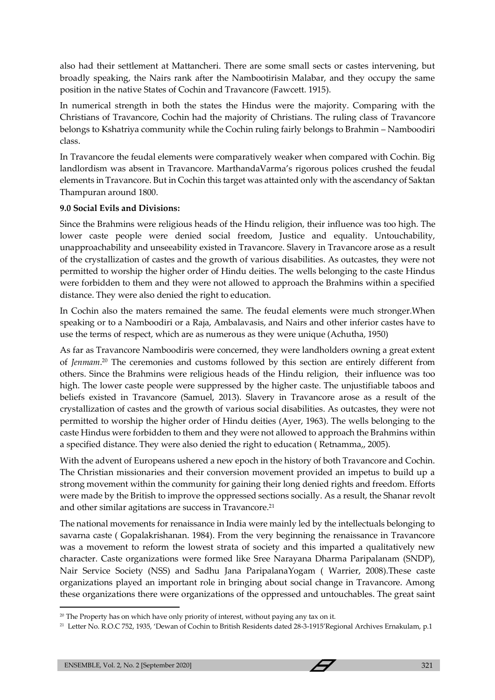also had their settlement at Mattancheri. There are some small sects or castes intervening, but broadly speaking, the Nairs rank after the Nambootirisin Malabar, and they occupy the same position in the native States of Cochin and Travancore (Fawcett. 1915).

In numerical strength in both the states the Hindus were the majority. Comparing with the Christians of Travancore, Cochin had the majority of Christians. The ruling class of Travancore belongs to Kshatriya community while the Cochin ruling fairly belongs to Brahmin – Namboodiri class.

In Travancore the feudal elements were comparatively weaker when compared with Cochin. Big landlordism was absent in Travancore. MarthandaVarma's rigorous polices crushed the feudal elements in Travancore. But in Cochin this target was attainted only with the ascendancy of Saktan Thampuran around 1800.

#### **9.0 Social Evils and Divisions:**

Since the Brahmins were religious heads of the Hindu religion, their influence was too high. The lower caste people were denied social freedom, Justice and equality. Untouchability, unapproachability and unseeability existed in Travancore. Slavery in Travancore arose as a result of the crystallization of castes and the growth of various disabilities. As outcastes, they were not permitted to worship the higher order of Hindu deities. The wells belonging to the caste Hindus were forbidden to them and they were not allowed to approach the Brahmins within a specified distance. They were also denied the right to education.

In Cochin also the maters remained the same. The feudal elements were much stronger.When speaking or to a Namboodiri or a Raja, Ambalavasis, and Nairs and other inferior castes have to use the terms of respect, which are as numerous as they were unique (Achutha, 1950)

As far as Travancore Namboodiris were concerned, they were landholders owning a great extent of *Jenmam*. <sup>20</sup> The ceremonies and customs followed by this section are entirely different from others. Since the Brahmins were religious heads of the Hindu religion, their influence was too high. The lower caste people were suppressed by the higher caste. The unjustifiable taboos and beliefs existed in Travancore (Samuel, 2013). Slavery in Travancore arose as a result of the crystallization of castes and the growth of various social disabilities. As outcastes, they were not permitted to worship the higher order of Hindu deities (Ayer, 1963). The wells belonging to the caste Hindus were forbidden to them and they were not allowed to approach the Brahmins within a specified distance. They were also denied the right to education ( Retnamma,, 2005).

With the advent of Europeans ushered a new epoch in the history of both Travancore and Cochin. The Christian missionaries and their conversion movement provided an impetus to build up a strong movement within the community for gaining their long denied rights and freedom. Efforts were made by the British to improve the oppressed sections socially. As a result, the Shanar revolt and other similar agitations are success in Travancore.<sup>21</sup>

The national movements for renaissance in India were mainly led by the intellectuals belonging to savarna caste ( Gopalakrishanan. 1984). From the very beginning the renaissance in Travancore was a movement to reform the lowest strata of society and this imparted a qualitatively new character. Caste organizations were formed like Sree Narayana Dharma Paripalanam (SNDP), Nair Service Society (NSS) and Sadhu Jana ParipalanaYogam ( Warrier, 2008).These caste organizations played an important role in bringing about social change in Travancore. Among these organizations there were organizations of the oppressed and untouchables. The great saint

<sup>&</sup>lt;sup>20</sup> The Property has on which have only priority of interest, without paying any tax on it.

<sup>21</sup> Letter No. R.O.C 752, 1935, 'Dewan of Cochin to British Residents dated 28-3-1915'Regional Archives Ernakulam, p.1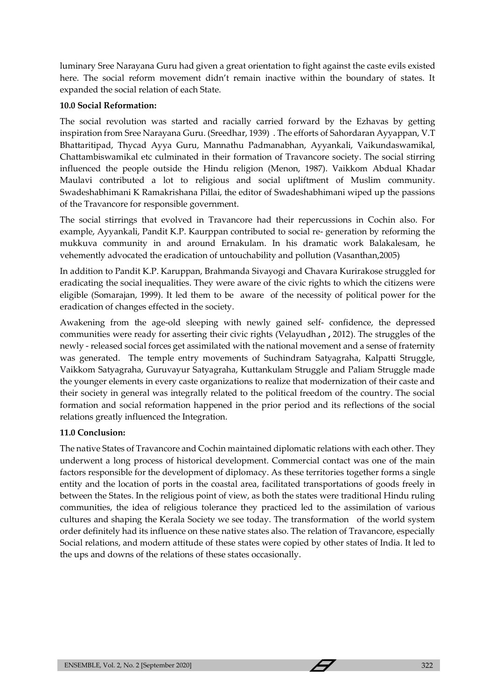luminary Sree Narayana Guru had given a great orientation to fight against the caste evils existed here. The social reform movement didn't remain inactive within the boundary of states. It expanded the social relation of each State.

## **10.0 Social Reformation:**

The social revolution was started and racially carried forward by the Ezhavas by getting inspiration from Sree Narayana Guru. (Sreedhar, 1939) . The efforts of Sahordaran Ayyappan, V.T Bhattaritipad, Thycad Ayya Guru, Mannathu Padmanabhan, Ayyankali, Vaikundaswamikal, Chattambiswamikal etc culminated in their formation of Travancore society. The social stirring influenced the people outside the Hindu religion (Menon, 1987). Vaikkom Abdual Khadar Maulavi contributed a lot to religious and social upliftment of Muslim community. Swadeshabhimani K Ramakrishana Pillai, the editor of Swadeshabhimani wiped up the passions of the Travancore for responsible government.

The social stirrings that evolved in Travancore had their repercussions in Cochin also. For example, Ayyankali, Pandit K.P. Kaurppan contributed to social re- generation by reforming the mukkuva community in and around Ernakulam. In his dramatic work Balakalesam, he vehemently advocated the eradication of untouchability and pollution (Vasanthan,2005)

In addition to Pandit K.P. Karuppan, Brahmanda Sivayogi and Chavara Kurirakose struggled for eradicating the social inequalities. They were aware of the civic rights to which the citizens were eligible (Somarajan, 1999). It led them to be aware of the necessity of political power for the eradication of changes effected in the society.

Awakening from the age-old sleeping with newly gained self- confidence, the depressed communities were ready for asserting their civic rights (Velayudhan **,** 2012). The struggles of the newly - released social forces get assimilated with the national movement and a sense of fraternity was generated. The temple entry movements of Suchindram Satyagraha, Kalpatti Struggle, Vaikkom Satyagraha, Guruvayur Satyagraha, Kuttankulam Struggle and Paliam Struggle made the younger elements in every caste organizations to realize that modernization of their caste and their society in general was integrally related to the political freedom of the country. The social formation and social reformation happened in the prior period and its reflections of the social relations greatly influenced the Integration.

# **11.0 Conclusion:**

The native States of Travancore and Cochin maintained diplomatic relations with each other. They underwent a long process of historical development. Commercial contact was one of the main factors responsible for the development of diplomacy. As these territories together forms a single entity and the location of ports in the coastal area, facilitated transportations of goods freely in between the States. In the religious point of view, as both the states were traditional Hindu ruling communities, the idea of religious tolerance they practiced led to the assimilation of various cultures and shaping the Kerala Society we see today. The transformation of the world system order definitely had its influence on these native states also. The relation of Travancore, especially Social relations, and modern attitude of these states were copied by other states of India. It led to the ups and downs of the relations of these states occasionally.